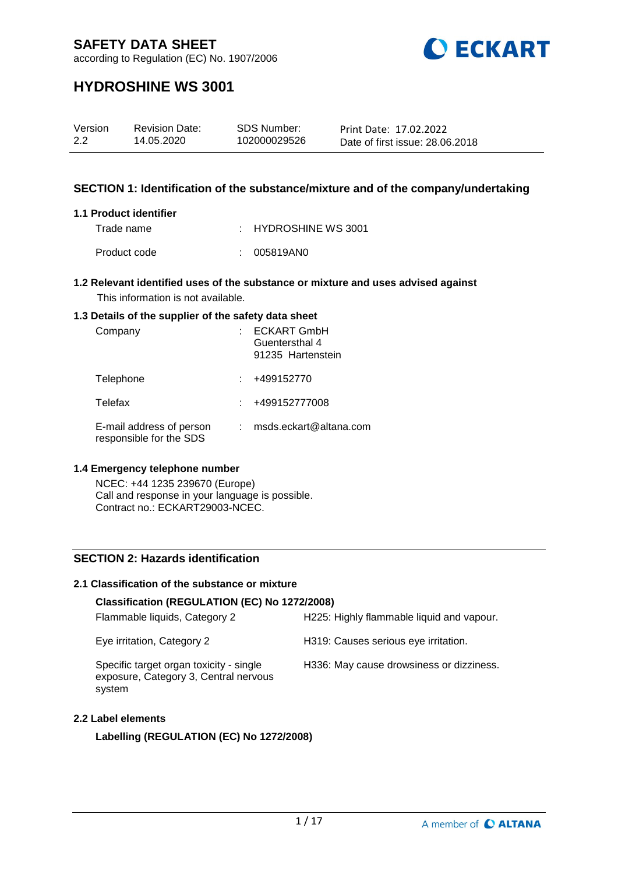

according to Regulation (EC) No. 1907/2006

# **HYDROSHINE WS 3001**

| Version | <b>Revision Date:</b> | SDS Number:  | Print Date: 17.02.2022          |
|---------|-----------------------|--------------|---------------------------------|
| 2.2     | 14.05.2020            | 102000029526 | Date of first issue: 28,06,2018 |

## **SECTION 1: Identification of the substance/mixture and of the company/undertaking**

#### **1.1 Product identifier**

Trade name : HYDROSHINE WS 3001

Product code : 005819AN0

### **1.2 Relevant identified uses of the substance or mixture and uses advised against** This information is not available.

#### **1.3 Details of the supplier of the safety data sheet**

| Company                                             | <b>ECKART GmbH</b><br>Guentersthal 4<br>91235 Hartenstein |
|-----------------------------------------------------|-----------------------------------------------------------|
| Telephone                                           | +499152770                                                |
| Telefax                                             | +499152777008                                             |
| E-mail address of person<br>responsible for the SDS | msds.eckart@altana.com                                    |

#### **1.4 Emergency telephone number**

NCEC: +44 1235 239670 (Europe) Call and response in your language is possible. Contract no.: ECKART29003-NCEC.

### **SECTION 2: Hazards identification**

## **2.1 Classification of the substance or mixture**

#### **Classification (REGULATION (EC) No 1272/2008)**

| Flammable liquids, Category 2                                                              | H225: Highly flammable liquid and vapour. |
|--------------------------------------------------------------------------------------------|-------------------------------------------|
| Eye irritation, Category 2                                                                 | H319: Causes serious eye irritation.      |
| Specific target organ toxicity - single<br>exposure, Category 3, Central nervous<br>system | H336: May cause drowsiness or dizziness.  |

#### **2.2 Label elements**

**Labelling (REGULATION (EC) No 1272/2008)**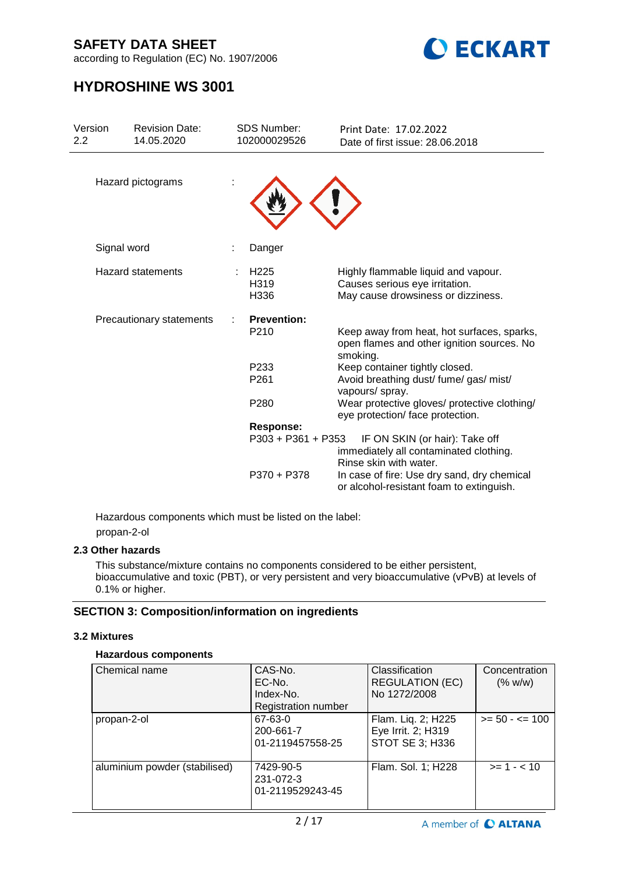

according to Regulation (EC) No. 1907/2006

# **HYDROSHINE WS 3001**

| Version<br>$2.2\phantom{0}$ | <b>Revision Date:</b><br>14.05.2020 | <b>SDS Number:</b><br>102000029526     | Print Date: 17.02.2022<br>Date of first issue: 28,06,2018                                                   |
|-----------------------------|-------------------------------------|----------------------------------------|-------------------------------------------------------------------------------------------------------------|
|                             | Hazard pictograms                   |                                        |                                                                                                             |
|                             | Signal word                         | Danger                                 |                                                                                                             |
|                             | <b>Hazard statements</b>            | H <sub>225</sub><br>H319<br>H336       | Highly flammable liquid and vapour.<br>Causes serious eye irritation.<br>May cause drowsiness or dizziness. |
|                             | Precautionary statements            | <b>Prevention:</b><br>P210             | Keep away from heat, hot surfaces, sparks,<br>open flames and other ignition sources. No<br>smoking.        |
|                             |                                     | P <sub>233</sub><br>P <sub>261</sub>   | Keep container tightly closed.<br>Avoid breathing dust/ fume/ gas/ mist/<br>vapours/ spray.                 |
|                             |                                     | P <sub>280</sub>                       | Wear protective gloves/ protective clothing/<br>eye protection/ face protection.                            |
|                             |                                     | <b>Response:</b><br>P303 + P361 + P353 |                                                                                                             |
|                             |                                     |                                        | IF ON SKIN (or hair): Take off<br>immediately all contaminated clothing.<br>Rinse skin with water.          |
|                             |                                     | P370 + P378                            | In case of fire: Use dry sand, dry chemical<br>or alcohol-resistant foam to extinguish.                     |

Hazardous components which must be listed on the label: propan-2-ol

#### **2.3 Other hazards**

This substance/mixture contains no components considered to be either persistent, bioaccumulative and toxic (PBT), or very persistent and very bioaccumulative (vPvB) at levels of 0.1% or higher.

## **SECTION 3: Composition/information on ingredients**

### **3.2 Mixtures**

## **Hazardous components**

| Chemical name                 | CAS-No.<br>EC-No.<br>Index-No.<br><b>Registration number</b> | Classification<br><b>REGULATION (EC)</b><br>No 1272/2008           | Concentration<br>(% w/w) |
|-------------------------------|--------------------------------------------------------------|--------------------------------------------------------------------|--------------------------|
| propan-2-ol                   | 67-63-0<br>200-661-7<br>01-2119457558-25                     | Flam. Liq. 2; H225<br>Eye Irrit. 2; H319<br><b>STOT SE 3; H336</b> | $>= 50 - 5 = 100$        |
| aluminium powder (stabilised) | 7429-90-5<br>231-072-3<br>01-2119529243-45                   | Flam. Sol. 1; H228                                                 | $>= 1 - 10$              |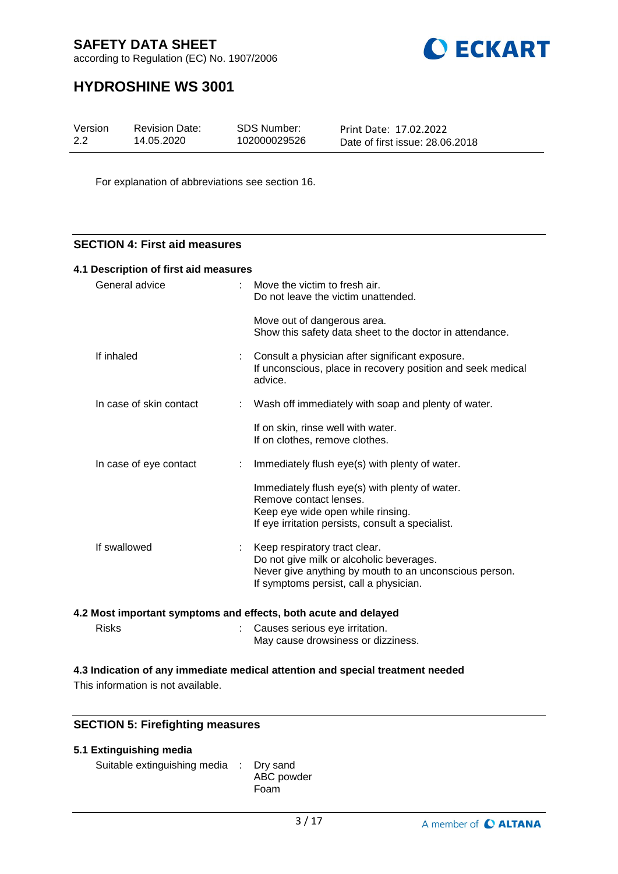according to Regulation (EC) No. 1907/2006



# **HYDROSHINE WS 3001**

| Version | <b>Revision Date:</b> | SDS Number:  | Print Date: 17.02.2022          |
|---------|-----------------------|--------------|---------------------------------|
| 2.2     | 14.05.2020            | 102000029526 | Date of first issue: 28.06.2018 |

For explanation of abbreviations see section 16.

### **SECTION 4: First aid measures**

| 4.1 Description of first aid measures |                                                                                                                                                                               |
|---------------------------------------|-------------------------------------------------------------------------------------------------------------------------------------------------------------------------------|
| General advice                        | $\therefore$ Move the victim to fresh air.<br>Do not leave the victim unattended.                                                                                             |
|                                       | Move out of dangerous area.<br>Show this safety data sheet to the doctor in attendance.                                                                                       |
| If inhaled                            | Consult a physician after significant exposure.<br>If unconscious, place in recovery position and seek medical<br>advice.                                                     |
| In case of skin contact               | : Wash off immediately with soap and plenty of water.                                                                                                                         |
|                                       | If on skin, rinse well with water.<br>If on clothes, remove clothes.                                                                                                          |
| In case of eye contact                | Immediately flush eye(s) with plenty of water.                                                                                                                                |
|                                       | Immediately flush eye(s) with plenty of water.<br>Remove contact lenses.<br>Keep eye wide open while rinsing.<br>If eye irritation persists, consult a specialist.            |
| If swallowed                          | Keep respiratory tract clear.<br>Do not give milk or alcoholic beverages.<br>Never give anything by mouth to an unconscious person.<br>If symptoms persist, call a physician. |
|                                       |                                                                                                                                                                               |

## **4.2 Most important symptoms and effects, both acute and delayed**

| <b>Risks</b> | : Causes serious eye irritation.   |
|--------------|------------------------------------|
|              | May cause drowsiness or dizziness. |

# **4.3 Indication of any immediate medical attention and special treatment needed**

This information is not available.

## **SECTION 5: Firefighting measures**

## **5.1 Extinguishing media**

Suitable extinguishing media : Dry sand

ABC powder Foam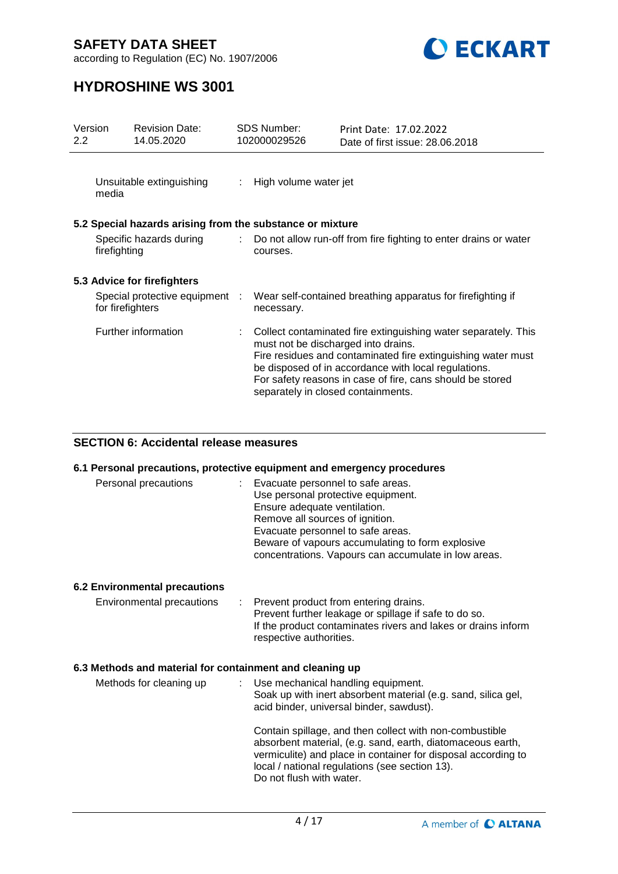

according to Regulation (EC) No. 1907/2006

# **HYDROSHINE WS 3001**

| Version<br>$2.2^{\circ}$                |                  | <b>Revision Date:</b><br>14.05.2020                       | <b>SDS Number:</b><br>102000029526 |                                                                           | Print Date: 17.02.2022<br>Date of first issue: 28.06.2018                                                                                                                                                                                             |
|-----------------------------------------|------------------|-----------------------------------------------------------|------------------------------------|---------------------------------------------------------------------------|-------------------------------------------------------------------------------------------------------------------------------------------------------------------------------------------------------------------------------------------------------|
|                                         | media            | Unsuitable extinguishing                                  | $\mathbb{Z}^{\mathbb{Z}}$          | High volume water jet                                                     |                                                                                                                                                                                                                                                       |
|                                         |                  | 5.2 Special hazards arising from the substance or mixture |                                    |                                                                           |                                                                                                                                                                                                                                                       |
| Specific hazards during<br>firefighting |                  |                                                           | courses.                           | : Do not allow run-off from fire fighting to enter drains or water        |                                                                                                                                                                                                                                                       |
|                                         |                  | 5.3 Advice for firefighters                               |                                    |                                                                           |                                                                                                                                                                                                                                                       |
|                                         | for firefighters | Special protective equipment :                            |                                    | necessary.                                                                | Wear self-contained breathing apparatus for firefighting if                                                                                                                                                                                           |
|                                         |                  | Further information                                       |                                    | must not be discharged into drains.<br>separately in closed containments. | : Collect contaminated fire extinguishing water separately. This<br>Fire residues and contaminated fire extinguishing water must<br>be disposed of in accordance with local regulations.<br>For safety reasons in case of fire, cans should be stored |

## **SECTION 6: Accidental release measures**

#### **6.1 Personal precautions, protective equipment and emergency procedures**

| Personal precautions | : Evacuate personnel to safe areas.<br>Use personal protective equipment.<br>Ensure adequate ventilation.<br>Remove all sources of ignition.<br>Evacuate personnel to safe areas.<br>Beware of vapours accumulating to form explosive<br>concentrations. Vapours can accumulate in low areas. |
|----------------------|-----------------------------------------------------------------------------------------------------------------------------------------------------------------------------------------------------------------------------------------------------------------------------------------------|
|----------------------|-----------------------------------------------------------------------------------------------------------------------------------------------------------------------------------------------------------------------------------------------------------------------------------------------|

## **6.2 Environmental precautions**

| Environmental precautions | : Prevent product from entering drains.                       |
|---------------------------|---------------------------------------------------------------|
|                           | Prevent further leakage or spillage if safe to do so.         |
|                           | If the product contaminates rivers and lakes or drains inform |
|                           | respective authorities.                                       |

#### **6.3 Methods and material for containment and cleaning up**

| Methods for cleaning up | Use mechanical handling equipment.<br>Soak up with inert absorbent material (e.g. sand, silica gel,<br>acid binder, universal binder, sawdust).                                                                                                                      |
|-------------------------|----------------------------------------------------------------------------------------------------------------------------------------------------------------------------------------------------------------------------------------------------------------------|
|                         | Contain spillage, and then collect with non-combustible<br>absorbent material, (e.g. sand, earth, diatomaceous earth,<br>vermiculite) and place in container for disposal according to<br>local / national regulations (see section 13).<br>Do not flush with water. |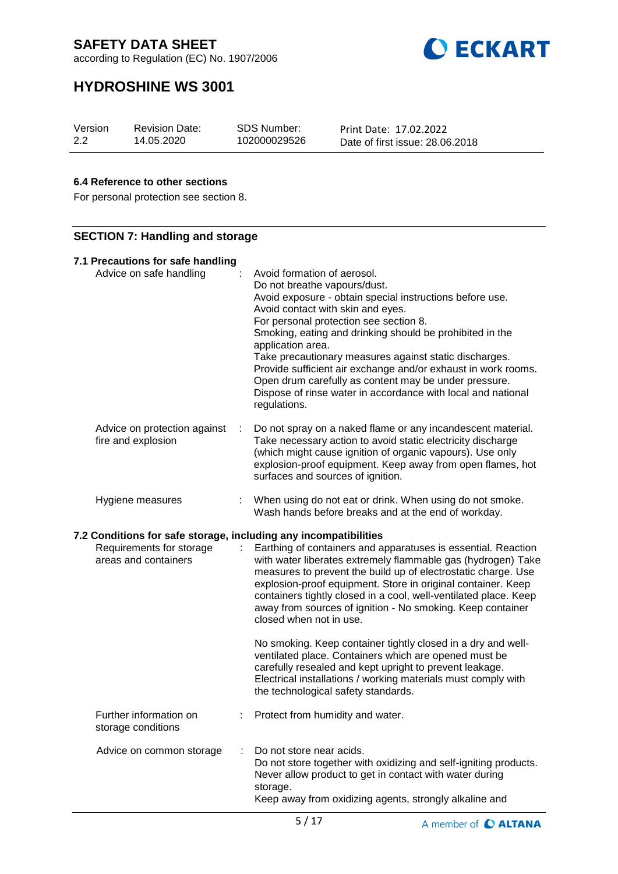according to Regulation (EC) No. 1907/2006



# **HYDROSHINE WS 3001**

| Version | <b>Revision Date:</b> | SDS Number:  | Print Date: 17.02.2022          |
|---------|-----------------------|--------------|---------------------------------|
| 2.2     | 14.05.2020            | 102000029526 | Date of first issue: 28,06,2018 |
|         |                       |              |                                 |

### **6.4 Reference to other sections**

For personal protection see section 8.

| <b>SECTION 7: Handling and storage</b>                                                                               |                                                                                                                                                                                                                                                                                                                                                                                                                                                                                                                                                                                                                                                                                  |  |  |  |
|----------------------------------------------------------------------------------------------------------------------|----------------------------------------------------------------------------------------------------------------------------------------------------------------------------------------------------------------------------------------------------------------------------------------------------------------------------------------------------------------------------------------------------------------------------------------------------------------------------------------------------------------------------------------------------------------------------------------------------------------------------------------------------------------------------------|--|--|--|
| 7.1 Precautions for safe handling<br>Advice on safe handling                                                         | Avoid formation of aerosol.<br>Do not breathe vapours/dust.<br>Avoid exposure - obtain special instructions before use.<br>Avoid contact with skin and eyes.<br>For personal protection see section 8.<br>Smoking, eating and drinking should be prohibited in the<br>application area.<br>Take precautionary measures against static discharges.<br>Provide sufficient air exchange and/or exhaust in work rooms.<br>Open drum carefully as content may be under pressure.<br>Dispose of rinse water in accordance with local and national<br>regulations.                                                                                                                      |  |  |  |
| Advice on protection against<br>fire and explosion                                                                   | Do not spray on a naked flame or any incandescent material.<br>Take necessary action to avoid static electricity discharge<br>(which might cause ignition of organic vapours). Use only<br>explosion-proof equipment. Keep away from open flames, hot<br>surfaces and sources of ignition.                                                                                                                                                                                                                                                                                                                                                                                       |  |  |  |
| Hygiene measures                                                                                                     | When using do not eat or drink. When using do not smoke.<br>Wash hands before breaks and at the end of workday.                                                                                                                                                                                                                                                                                                                                                                                                                                                                                                                                                                  |  |  |  |
| 7.2 Conditions for safe storage, including any incompatibilities<br>Requirements for storage<br>areas and containers | Earthing of containers and apparatuses is essential. Reaction<br>with water liberates extremely flammable gas (hydrogen) Take<br>measures to prevent the build up of electrostatic charge. Use<br>explosion-proof equipment. Store in original container. Keep<br>containers tightly closed in a cool, well-ventilated place. Keep<br>away from sources of ignition - No smoking. Keep container<br>closed when not in use.<br>No smoking. Keep container tightly closed in a dry and well-<br>ventilated place. Containers which are opened must be<br>carefully resealed and kept upright to prevent leakage.<br>Electrical installations / working materials must comply with |  |  |  |
| Further information on                                                                                               | the technological safety standards.<br>Protect from humidity and water.                                                                                                                                                                                                                                                                                                                                                                                                                                                                                                                                                                                                          |  |  |  |
| storage conditions                                                                                                   |                                                                                                                                                                                                                                                                                                                                                                                                                                                                                                                                                                                                                                                                                  |  |  |  |
| Advice on common storage                                                                                             | Do not store near acids.<br>Do not store together with oxidizing and self-igniting products.<br>Never allow product to get in contact with water during<br>storage.<br>Keep away from oxidizing agents, strongly alkaline and                                                                                                                                                                                                                                                                                                                                                                                                                                                    |  |  |  |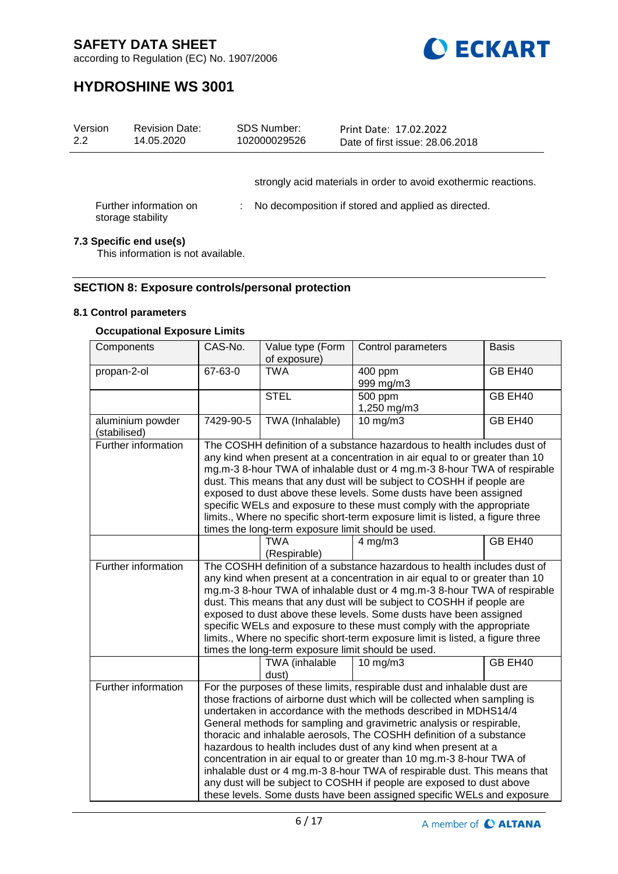

according to Regulation (EC) No. 1907/2006

# **HYDROSHINE WS 3001**

| Version<br>2.2 | <b>Revision Date:</b><br>14.05.2020         | <b>SDS Number:</b><br>102000029526 | Print Date: 17.02.2022<br>Date of first issue: 28.06.2018       |
|----------------|---------------------------------------------|------------------------------------|-----------------------------------------------------------------|
|                |                                             |                                    | strongly acid materials in order to avoid exothermic reactions. |
|                | Further information on<br>storage stability |                                    | : No decomposition if stored and applied as directed.           |

### **7.3 Specific end use(s)**

This information is not available.

### **SECTION 8: Exposure controls/personal protection**

## **8.1 Control parameters**

## **Occupational Exposure Limits**

| Components                       | CAS-No.                                                                                                                                                                                                                                                                                                                                                                                                                                                                                                                                                                                                                                                                                                                                              | Value type (Form<br>of exposure) | Control parameters     | <b>Basis</b> |  |
|----------------------------------|------------------------------------------------------------------------------------------------------------------------------------------------------------------------------------------------------------------------------------------------------------------------------------------------------------------------------------------------------------------------------------------------------------------------------------------------------------------------------------------------------------------------------------------------------------------------------------------------------------------------------------------------------------------------------------------------------------------------------------------------------|----------------------------------|------------------------|--------------|--|
| propan-2-ol                      | 67-63-0                                                                                                                                                                                                                                                                                                                                                                                                                                                                                                                                                                                                                                                                                                                                              | <b>TWA</b>                       | 400 ppm<br>999 mg/m3   | GB EH40      |  |
|                                  |                                                                                                                                                                                                                                                                                                                                                                                                                                                                                                                                                                                                                                                                                                                                                      | <b>STEL</b>                      | 500 ppm<br>1,250 mg/m3 | GB EH40      |  |
| aluminium powder<br>(stabilised) | 7429-90-5                                                                                                                                                                                                                                                                                                                                                                                                                                                                                                                                                                                                                                                                                                                                            | TWA (Inhalable)                  | $10$ mg/m $3$          | GB EH40      |  |
| Further information              | The COSHH definition of a substance hazardous to health includes dust of<br>any kind when present at a concentration in air equal to or greater than 10<br>mg.m-3 8-hour TWA of inhalable dust or 4 mg.m-3 8-hour TWA of respirable<br>dust. This means that any dust will be subject to COSHH if people are<br>exposed to dust above these levels. Some dusts have been assigned<br>specific WELs and exposure to these must comply with the appropriate<br>limits., Where no specific short-term exposure limit is listed, a figure three<br>times the long-term exposure limit should be used.                                                                                                                                                    |                                  |                        |              |  |
|                                  |                                                                                                                                                                                                                                                                                                                                                                                                                                                                                                                                                                                                                                                                                                                                                      | <b>TWA</b><br>(Respirable)       | $4$ mg/m $3$           | GB EH40      |  |
| Further information              | The COSHH definition of a substance hazardous to health includes dust of<br>any kind when present at a concentration in air equal to or greater than 10<br>mg.m-3 8-hour TWA of inhalable dust or 4 mg.m-3 8-hour TWA of respirable<br>dust. This means that any dust will be subject to COSHH if people are<br>exposed to dust above these levels. Some dusts have been assigned<br>specific WELs and exposure to these must comply with the appropriate<br>limits., Where no specific short-term exposure limit is listed, a figure three<br>times the long-term exposure limit should be used.                                                                                                                                                    |                                  |                        |              |  |
|                                  |                                                                                                                                                                                                                                                                                                                                                                                                                                                                                                                                                                                                                                                                                                                                                      | TWA (inhalable<br>dust)          | $10$ mg/m $3$          | GB EH40      |  |
| Further information              | For the purposes of these limits, respirable dust and inhalable dust are<br>those fractions of airborne dust which will be collected when sampling is<br>undertaken in accordance with the methods described in MDHS14/4<br>General methods for sampling and gravimetric analysis or respirable,<br>thoracic and inhalable aerosols, The COSHH definition of a substance<br>hazardous to health includes dust of any kind when present at a<br>concentration in air equal to or greater than 10 mg.m-3 8-hour TWA of<br>inhalable dust or 4 mg.m-3 8-hour TWA of respirable dust. This means that<br>any dust will be subject to COSHH if people are exposed to dust above<br>these levels. Some dusts have been assigned specific WELs and exposure |                                  |                        |              |  |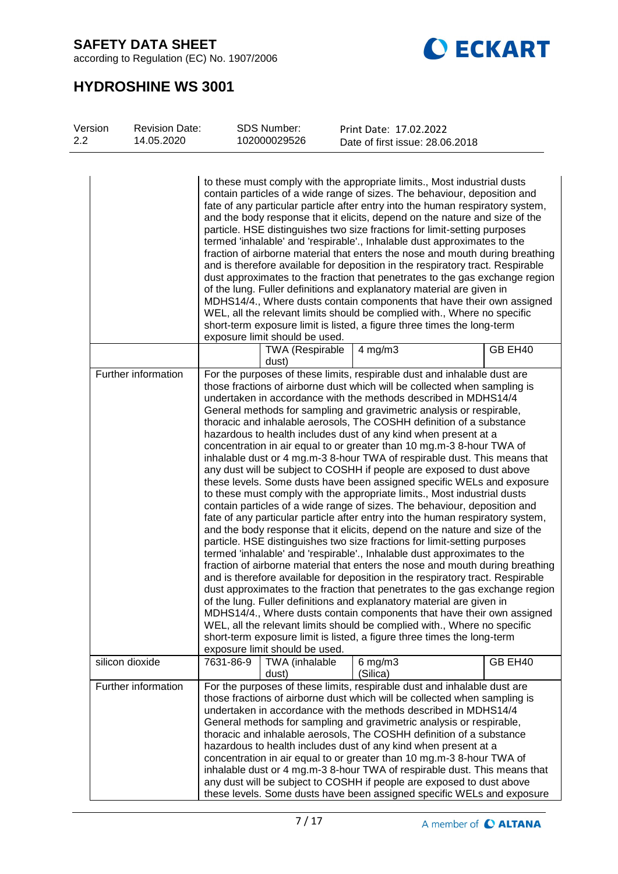according to Regulation (EC) No. 1907/2006



# **HYDROSHINE WS 3001**

| Version<br>2.2 | <b>Revision Date:</b><br>14.05.2020 | <b>SDS Number:</b><br>102000029526                                                                                                                                                                                                                                                                                                                                                                                                                                                                                                                                                                                                                                                                                                                                                                                                                                                                                                                                                                                                                                             |  | Print Date: 17.02.2022<br>Date of first issue: 28.06.2018                                                                                                                                                                                                                                                                                                                                                                                                                                                                                                                                                                                                                                                                                                                                                                                                                                                                                                                                                                                                                                                                                                                                                                                                                                                                                                                                                                                                                                                                                                                                                                                                                                                                                                                                            |         |
|----------------|-------------------------------------|--------------------------------------------------------------------------------------------------------------------------------------------------------------------------------------------------------------------------------------------------------------------------------------------------------------------------------------------------------------------------------------------------------------------------------------------------------------------------------------------------------------------------------------------------------------------------------------------------------------------------------------------------------------------------------------------------------------------------------------------------------------------------------------------------------------------------------------------------------------------------------------------------------------------------------------------------------------------------------------------------------------------------------------------------------------------------------|--|------------------------------------------------------------------------------------------------------------------------------------------------------------------------------------------------------------------------------------------------------------------------------------------------------------------------------------------------------------------------------------------------------------------------------------------------------------------------------------------------------------------------------------------------------------------------------------------------------------------------------------------------------------------------------------------------------------------------------------------------------------------------------------------------------------------------------------------------------------------------------------------------------------------------------------------------------------------------------------------------------------------------------------------------------------------------------------------------------------------------------------------------------------------------------------------------------------------------------------------------------------------------------------------------------------------------------------------------------------------------------------------------------------------------------------------------------------------------------------------------------------------------------------------------------------------------------------------------------------------------------------------------------------------------------------------------------------------------------------------------------------------------------------------------------|---------|
|                |                                     | to these must comply with the appropriate limits., Most industrial dusts<br>contain particles of a wide range of sizes. The behaviour, deposition and<br>fate of any particular particle after entry into the human respiratory system,<br>and the body response that it elicits, depend on the nature and size of the<br>particle. HSE distinguishes two size fractions for limit-setting purposes<br>termed 'inhalable' and 'respirable'., Inhalable dust approximates to the<br>fraction of airborne material that enters the nose and mouth during breathing<br>and is therefore available for deposition in the respiratory tract. Respirable<br>dust approximates to the fraction that penetrates to the gas exchange region<br>of the lung. Fuller definitions and explanatory material are given in<br>MDHS14/4., Where dusts contain components that have their own assigned<br>WEL, all the relevant limits should be complied with., Where no specific<br>short-term exposure limit is listed, a figure three times the long-term<br>exposure limit should be used. |  |                                                                                                                                                                                                                                                                                                                                                                                                                                                                                                                                                                                                                                                                                                                                                                                                                                                                                                                                                                                                                                                                                                                                                                                                                                                                                                                                                                                                                                                                                                                                                                                                                                                                                                                                                                                                      |         |
|                |                                     | <b>TWA (Respirable</b><br>dust)                                                                                                                                                                                                                                                                                                                                                                                                                                                                                                                                                                                                                                                                                                                                                                                                                                                                                                                                                                                                                                                |  | $4$ mg/m $3$                                                                                                                                                                                                                                                                                                                                                                                                                                                                                                                                                                                                                                                                                                                                                                                                                                                                                                                                                                                                                                                                                                                                                                                                                                                                                                                                                                                                                                                                                                                                                                                                                                                                                                                                                                                         | GB EH40 |
|                | Further information                 | exposure limit should be used.                                                                                                                                                                                                                                                                                                                                                                                                                                                                                                                                                                                                                                                                                                                                                                                                                                                                                                                                                                                                                                                 |  | For the purposes of these limits, respirable dust and inhalable dust are<br>those fractions of airborne dust which will be collected when sampling is<br>undertaken in accordance with the methods described in MDHS14/4<br>General methods for sampling and gravimetric analysis or respirable,<br>thoracic and inhalable aerosols, The COSHH definition of a substance<br>hazardous to health includes dust of any kind when present at a<br>concentration in air equal to or greater than 10 mg.m-3 8-hour TWA of<br>inhalable dust or 4 mg.m-3 8-hour TWA of respirable dust. This means that<br>any dust will be subject to COSHH if people are exposed to dust above<br>these levels. Some dusts have been assigned specific WELs and exposure<br>to these must comply with the appropriate limits., Most industrial dusts<br>contain particles of a wide range of sizes. The behaviour, deposition and<br>fate of any particular particle after entry into the human respiratory system,<br>and the body response that it elicits, depend on the nature and size of the<br>particle. HSE distinguishes two size fractions for limit-setting purposes<br>termed 'inhalable' and 'respirable'., Inhalable dust approximates to the<br>fraction of airborne material that enters the nose and mouth during breathing<br>and is therefore available for deposition in the respiratory tract. Respirable<br>dust approximates to the fraction that penetrates to the gas exchange region<br>of the lung. Fuller definitions and explanatory material are given in<br>MDHS14/4., Where dusts contain components that have their own assigned<br>WEL, all the relevant limits should be complied with., Where no specific<br>short-term exposure limit is listed, a figure three times the long-term |         |
|                | silicon dioxide                     | 7631-86-9<br>TWA (inhalable<br>dust)                                                                                                                                                                                                                                                                                                                                                                                                                                                                                                                                                                                                                                                                                                                                                                                                                                                                                                                                                                                                                                           |  | $6$ mg/m $3$<br>(Silica)                                                                                                                                                                                                                                                                                                                                                                                                                                                                                                                                                                                                                                                                                                                                                                                                                                                                                                                                                                                                                                                                                                                                                                                                                                                                                                                                                                                                                                                                                                                                                                                                                                                                                                                                                                             | GB EH40 |
|                | Further information                 |                                                                                                                                                                                                                                                                                                                                                                                                                                                                                                                                                                                                                                                                                                                                                                                                                                                                                                                                                                                                                                                                                |  | For the purposes of these limits, respirable dust and inhalable dust are<br>those fractions of airborne dust which will be collected when sampling is<br>undertaken in accordance with the methods described in MDHS14/4<br>General methods for sampling and gravimetric analysis or respirable,<br>thoracic and inhalable aerosols, The COSHH definition of a substance<br>hazardous to health includes dust of any kind when present at a<br>concentration in air equal to or greater than 10 mg.m-3 8-hour TWA of<br>inhalable dust or 4 mg.m-3 8-hour TWA of respirable dust. This means that<br>any dust will be subject to COSHH if people are exposed to dust above<br>these levels. Some dusts have been assigned specific WELs and exposure                                                                                                                                                                                                                                                                                                                                                                                                                                                                                                                                                                                                                                                                                                                                                                                                                                                                                                                                                                                                                                                 |         |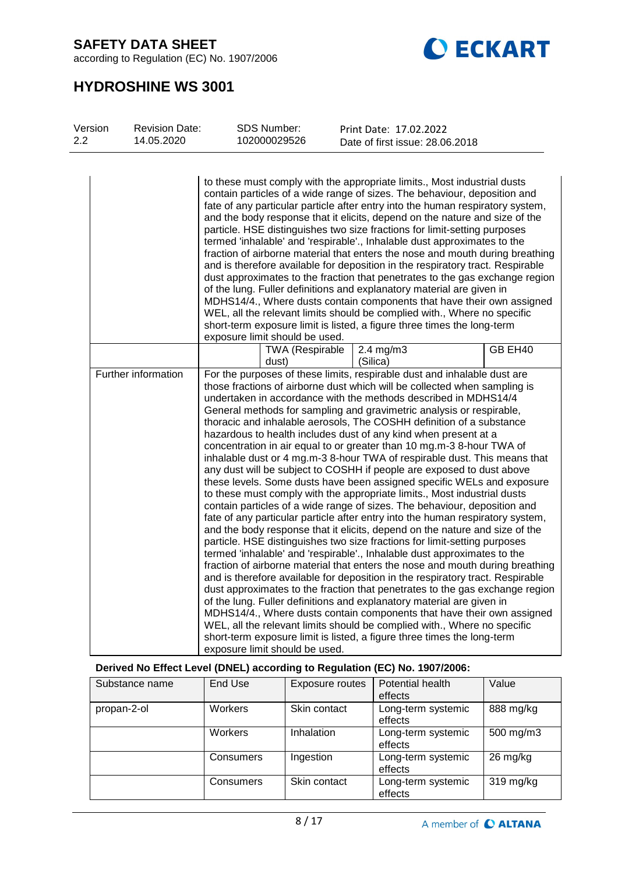according to Regulation (EC) No. 1907/2006



# **HYDROSHINE WS 3001**

| <b>Revision Date:</b><br>Version<br>$2.2\,$<br>14.05.2020 |                     | SDS Number:<br>102000029526                                                                                                                                                                                                                                                                                                                                                                                                                                                                                                                                                                                                                                                                                                                                                                                                                                                                                                                                                                                                                                                    |                                 | Print Date: 17.02.2022<br>Date of first issue: 28.06.2018 |                                                                                                                                                                                                                                                                                                                                                                                                                                                                                                                                                                                                                                                                                                                                                                                                                                                                                                                                                                                                                                                                                                                                                                                                                                                                                                                                                                                                                                                                                                                                                                                                                                                                                                                                                                                                      |  |         |
|-----------------------------------------------------------|---------------------|--------------------------------------------------------------------------------------------------------------------------------------------------------------------------------------------------------------------------------------------------------------------------------------------------------------------------------------------------------------------------------------------------------------------------------------------------------------------------------------------------------------------------------------------------------------------------------------------------------------------------------------------------------------------------------------------------------------------------------------------------------------------------------------------------------------------------------------------------------------------------------------------------------------------------------------------------------------------------------------------------------------------------------------------------------------------------------|---------------------------------|-----------------------------------------------------------|------------------------------------------------------------------------------------------------------------------------------------------------------------------------------------------------------------------------------------------------------------------------------------------------------------------------------------------------------------------------------------------------------------------------------------------------------------------------------------------------------------------------------------------------------------------------------------------------------------------------------------------------------------------------------------------------------------------------------------------------------------------------------------------------------------------------------------------------------------------------------------------------------------------------------------------------------------------------------------------------------------------------------------------------------------------------------------------------------------------------------------------------------------------------------------------------------------------------------------------------------------------------------------------------------------------------------------------------------------------------------------------------------------------------------------------------------------------------------------------------------------------------------------------------------------------------------------------------------------------------------------------------------------------------------------------------------------------------------------------------------------------------------------------------------|--|---------|
|                                                           |                     | to these must comply with the appropriate limits., Most industrial dusts<br>contain particles of a wide range of sizes. The behaviour, deposition and<br>fate of any particular particle after entry into the human respiratory system,<br>and the body response that it elicits, depend on the nature and size of the<br>particle. HSE distinguishes two size fractions for limit-setting purposes<br>termed 'inhalable' and 'respirable'., Inhalable dust approximates to the<br>fraction of airborne material that enters the nose and mouth during breathing<br>and is therefore available for deposition in the respiratory tract. Respirable<br>dust approximates to the fraction that penetrates to the gas exchange region<br>of the lung. Fuller definitions and explanatory material are given in<br>MDHS14/4., Where dusts contain components that have their own assigned<br>WEL, all the relevant limits should be complied with., Where no specific<br>short-term exposure limit is listed, a figure three times the long-term<br>exposure limit should be used. |                                 |                                                           |                                                                                                                                                                                                                                                                                                                                                                                                                                                                                                                                                                                                                                                                                                                                                                                                                                                                                                                                                                                                                                                                                                                                                                                                                                                                                                                                                                                                                                                                                                                                                                                                                                                                                                                                                                                                      |  |         |
|                                                           |                     |                                                                                                                                                                                                                                                                                                                                                                                                                                                                                                                                                                                                                                                                                                                                                                                                                                                                                                                                                                                                                                                                                | <b>TWA (Respirable</b><br>dust) |                                                           | 2.4 mg/m3<br>(Silica)                                                                                                                                                                                                                                                                                                                                                                                                                                                                                                                                                                                                                                                                                                                                                                                                                                                                                                                                                                                                                                                                                                                                                                                                                                                                                                                                                                                                                                                                                                                                                                                                                                                                                                                                                                                |  | GB EH40 |
|                                                           | Further information |                                                                                                                                                                                                                                                                                                                                                                                                                                                                                                                                                                                                                                                                                                                                                                                                                                                                                                                                                                                                                                                                                | exposure limit should be used.  |                                                           | For the purposes of these limits, respirable dust and inhalable dust are<br>those fractions of airborne dust which will be collected when sampling is<br>undertaken in accordance with the methods described in MDHS14/4<br>General methods for sampling and gravimetric analysis or respirable,<br>thoracic and inhalable aerosols, The COSHH definition of a substance<br>hazardous to health includes dust of any kind when present at a<br>concentration in air equal to or greater than 10 mg.m-3 8-hour TWA of<br>inhalable dust or 4 mg.m-3 8-hour TWA of respirable dust. This means that<br>any dust will be subject to COSHH if people are exposed to dust above<br>these levels. Some dusts have been assigned specific WELs and exposure<br>to these must comply with the appropriate limits., Most industrial dusts<br>contain particles of a wide range of sizes. The behaviour, deposition and<br>fate of any particular particle after entry into the human respiratory system,<br>and the body response that it elicits, depend on the nature and size of the<br>particle. HSE distinguishes two size fractions for limit-setting purposes<br>termed 'inhalable' and 'respirable'., Inhalable dust approximates to the<br>fraction of airborne material that enters the nose and mouth during breathing<br>and is therefore available for deposition in the respiratory tract. Respirable<br>dust approximates to the fraction that penetrates to the gas exchange region<br>of the lung. Fuller definitions and explanatory material are given in<br>MDHS14/4., Where dusts contain components that have their own assigned<br>WEL, all the relevant limits should be complied with., Where no specific<br>short-term exposure limit is listed, a figure three times the long-term |  |         |

## **Derived No Effect Level (DNEL) according to Regulation (EC) No. 1907/2006:**

| Substance name | End Use   | Exposure routes | Potential health<br>effects   | Value              |
|----------------|-----------|-----------------|-------------------------------|--------------------|
| propan-2-ol    | Workers   | Skin contact    | Long-term systemic<br>effects | 888 mg/kg          |
|                | Workers   | Inhalation      | Long-term systemic<br>effects | 500 mg/m3          |
|                | Consumers | Ingestion       | Long-term systemic<br>effects | $26 \text{ mg/kg}$ |
|                | Consumers | Skin contact    | Long-term systemic<br>effects | 319 mg/kg          |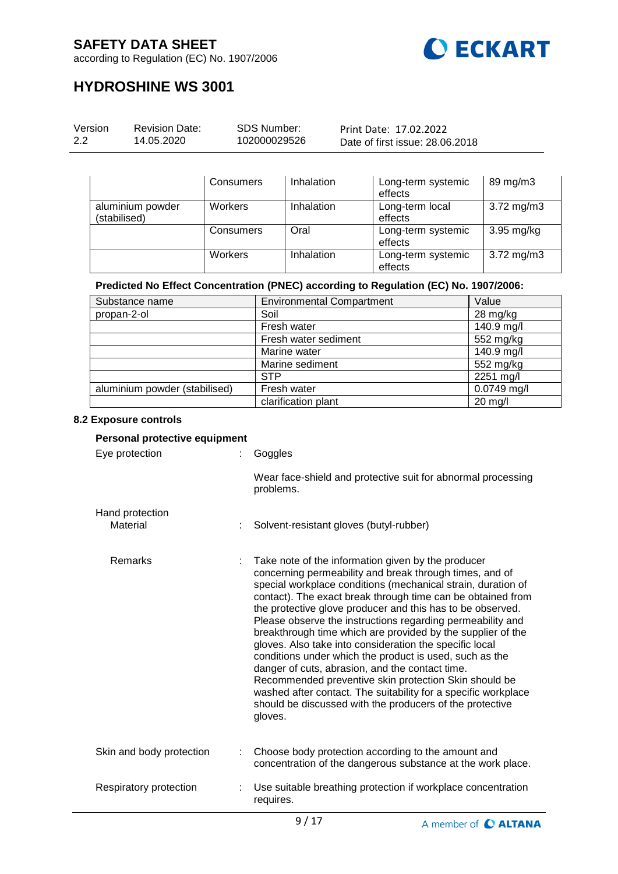

according to Regulation (EC) No. 1907/2006

# **HYDROSHINE WS 3001**

| Version<br>SDS Number:<br><b>Revision Date:</b><br>2.2<br>102000029526<br>14.05.2020 | Print Date: 17.02.2022<br>Date of first issue: 28,06,2018 |
|--------------------------------------------------------------------------------------|-----------------------------------------------------------|
|--------------------------------------------------------------------------------------|-----------------------------------------------------------|

|                                  | Consumers | Inhalation | Long-term systemic<br>effects | 89 mg/m3                |
|----------------------------------|-----------|------------|-------------------------------|-------------------------|
| aluminium powder<br>(stabilised) | Workers   | Inhalation | Long-term local<br>effects    | $3.72 \,\mathrm{mg/m3}$ |
|                                  | Consumers | Oral       | Long-term systemic<br>effects | $3.95$ mg/kg            |
|                                  | Workers   | Inhalation | Long-term systemic<br>effects | $3.72 \,\mathrm{mg/m3}$ |

### **Predicted No Effect Concentration (PNEC) according to Regulation (EC) No. 1907/2006:**

| Substance name                | <b>Environmental Compartment</b> | Value              |
|-------------------------------|----------------------------------|--------------------|
| propan-2-ol                   | Soil                             | $28 \text{ mg/kg}$ |
|                               | Fresh water                      | 140.9 mg/l         |
|                               | Fresh water sediment             | 552 mg/kg          |
|                               | Marine water                     | 140.9 mg/l         |
|                               | Marine sediment                  | 552 mg/kg          |
|                               | <b>STP</b>                       | 2251 mg/l          |
| aluminium powder (stabilised) | Fresh water                      | 0.0749 mg/l        |
|                               | clarification plant              | $20$ mg/l          |

#### **8.2 Exposure controls**

#### **Personal protective equipment**

| Eye protection              | Goggles                                                                                                                                                                                                                                                                                                                                                                                                                                                                                                                                                                                                                                                                                                                                                                                                            |
|-----------------------------|--------------------------------------------------------------------------------------------------------------------------------------------------------------------------------------------------------------------------------------------------------------------------------------------------------------------------------------------------------------------------------------------------------------------------------------------------------------------------------------------------------------------------------------------------------------------------------------------------------------------------------------------------------------------------------------------------------------------------------------------------------------------------------------------------------------------|
|                             | Wear face-shield and protective suit for abnormal processing<br>problems.                                                                                                                                                                                                                                                                                                                                                                                                                                                                                                                                                                                                                                                                                                                                          |
| Hand protection<br>Material | Solvent-resistant gloves (butyl-rubber)                                                                                                                                                                                                                                                                                                                                                                                                                                                                                                                                                                                                                                                                                                                                                                            |
| <b>Remarks</b>              | Take note of the information given by the producer<br>concerning permeability and break through times, and of<br>special workplace conditions (mechanical strain, duration of<br>contact). The exact break through time can be obtained from<br>the protective glove producer and this has to be observed.<br>Please observe the instructions regarding permeability and<br>breakthrough time which are provided by the supplier of the<br>gloves. Also take into consideration the specific local<br>conditions under which the product is used, such as the<br>danger of cuts, abrasion, and the contact time.<br>Recommended preventive skin protection Skin should be<br>washed after contact. The suitability for a specific workplace<br>should be discussed with the producers of the protective<br>gloves. |
| Skin and body protection    | Choose body protection according to the amount and<br>concentration of the dangerous substance at the work place.                                                                                                                                                                                                                                                                                                                                                                                                                                                                                                                                                                                                                                                                                                  |
| Respiratory protection      | Use suitable breathing protection if workplace concentration<br>requires.                                                                                                                                                                                                                                                                                                                                                                                                                                                                                                                                                                                                                                                                                                                                          |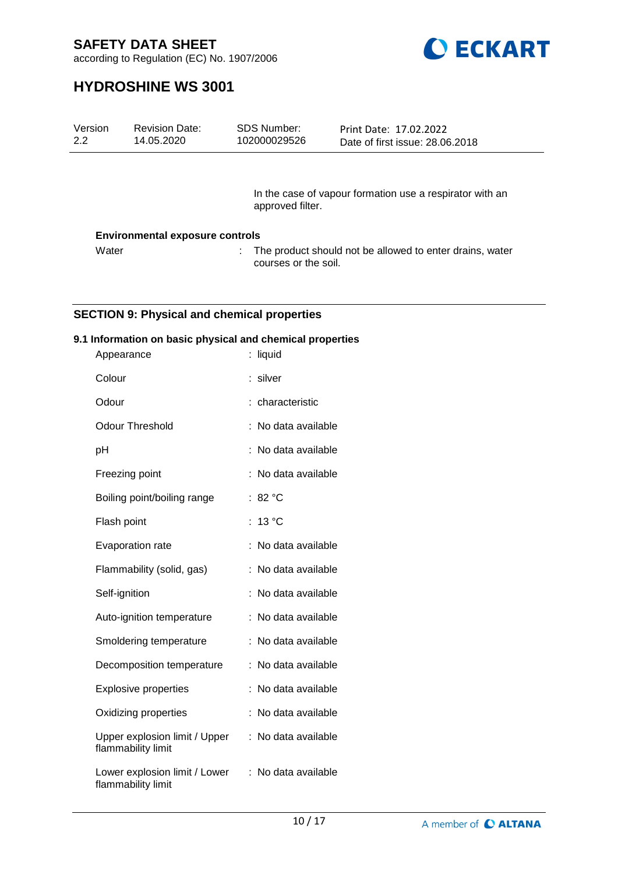

according to Regulation (EC) No. 1907/2006

# **HYDROSHINE WS 3001**

| Version | <b>Revision Date:</b>           | <b>SDS Number:</b> | Print Date: 17.02.2022                                   |
|---------|---------------------------------|--------------------|----------------------------------------------------------|
| 2.2     | 14.05.2020                      | 102000029526       | Date of first issue: 28,06,2018                          |
|         | Faulasamentel syncsure controle | approved filter.   | In the case of vapour formation use a respirator with an |

#### **Environmental exposure controls**

Water : The product should not be allowed to enter drains, water courses or the soil.

## **SECTION 9: Physical and chemical properties**

### **9.1 Information on basic physical and chemical properties**

| Appearance                                          | : liquid          |
|-----------------------------------------------------|-------------------|
| Colour                                              | silver            |
| Odour                                               | characteristic    |
| <b>Odour Threshold</b>                              | No data available |
| рH                                                  | No data available |
| Freezing point                                      | No data available |
| Boiling point/boiling range                         | : 82 °C           |
| Flash point                                         | 13 °C             |
| Evaporation rate                                    | No data available |
| Flammability (solid, gas)                           | No data available |
| Self-ignition                                       | No data available |
| Auto-ignition temperature                           | No data available |
| Smoldering temperature                              | No data available |
| Decomposition temperature                           | No data available |
| <b>Explosive properties</b>                         | No data available |
| Oxidizing properties                                | No data available |
| Upper explosion limit / Upper<br>flammability limit | No data available |
| Lower explosion limit / Lower<br>flammability limit | No data available |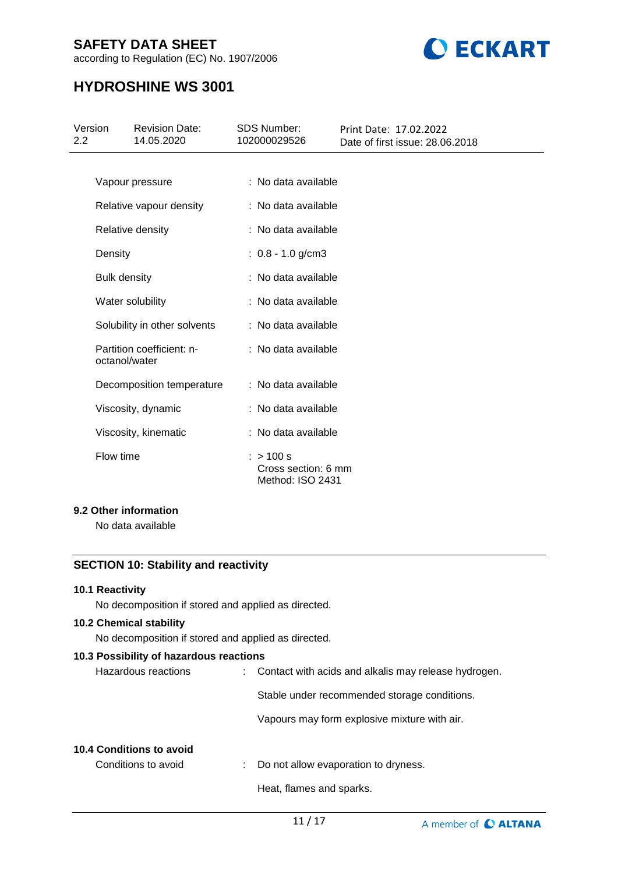according to Regulation (EC) No. 1907/2006



# **HYDROSHINE WS 3001**

| Version<br>$2.2^{\circ}$ | <b>Revision Date:</b><br>14.05.2020        | <b>SDS Number:</b><br>102000029526                   | Print Date: 17.02.2022<br>Date of first issue: 28.06.2018 |  |
|--------------------------|--------------------------------------------|------------------------------------------------------|-----------------------------------------------------------|--|
|                          |                                            |                                                      |                                                           |  |
|                          | Vapour pressure                            | : No data available                                  |                                                           |  |
|                          | Relative vapour density                    | : No data available                                  |                                                           |  |
|                          | Relative density                           | : No data available                                  |                                                           |  |
| Density                  |                                            | $: 0.8 - 1.0$ g/cm3                                  |                                                           |  |
| <b>Bulk density</b>      |                                            | : No data available                                  |                                                           |  |
|                          | Water solubility                           | : No data available                                  |                                                           |  |
|                          | Solubility in other solvents               | : No data available                                  |                                                           |  |
|                          | Partition coefficient: n-<br>octanol/water | : No data available                                  |                                                           |  |
|                          | Decomposition temperature                  | : No data available                                  |                                                           |  |
|                          | Viscosity, dynamic                         | : No data available                                  |                                                           |  |
|                          | Viscosity, kinematic                       | : No data available                                  |                                                           |  |
| Flow time                |                                            | : > 100 s<br>Cross section: 6 mm<br>Method: ISO 2431 |                                                           |  |
|                          |                                            |                                                      |                                                           |  |

### **9.2 Other information**

No data available

## **SECTION 10: Stability and reactivity**

#### **10.1 Reactivity**

No decomposition if stored and applied as directed.

#### **10.2 Chemical stability**

No decomposition if stored and applied as directed.

#### **10.3 Possibility of hazardous reactions**

| Hazardous reactions | : Contact with acids and alkalis may release hydrogen. |
|---------------------|--------------------------------------------------------|
|                     |                                                        |

Stable under recommended storage conditions.

Vapours may form explosive mixture with air.

#### **10.4 Conditions to avoid**

| Conditions to avoid | Do not allow evaporation to dryness. |
|---------------------|--------------------------------------|
|---------------------|--------------------------------------|

Heat, flames and sparks.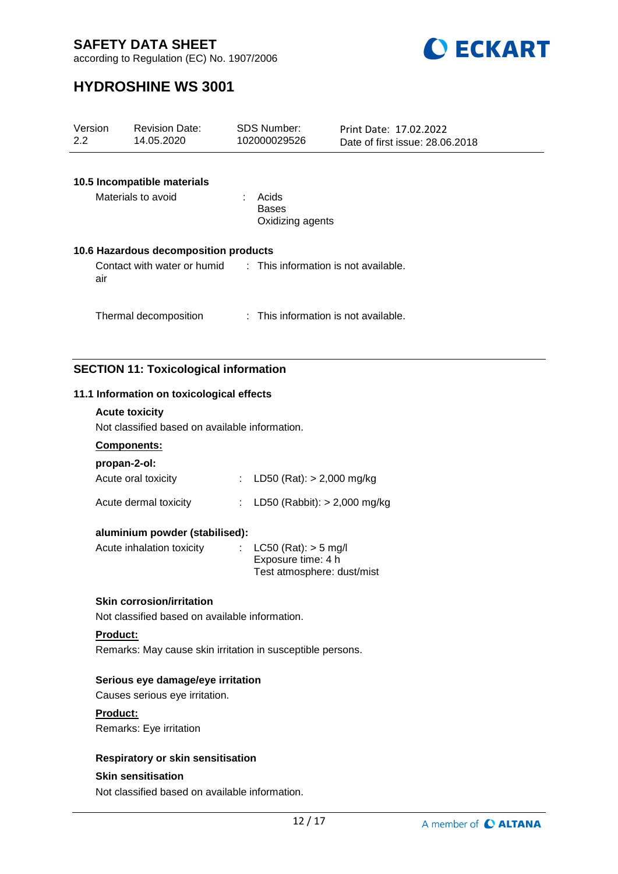

according to Regulation (EC) No. 1907/2006

# **HYDROSHINE WS 3001**

| Version<br>$2.2^{\circ}$ |     | <b>Revision Date:</b><br>14.05.2020                              | <b>SDS Number:</b><br>102000029526   | Print Date: 17.02.2022<br>Date of first issue: 28.06.2018 |
|--------------------------|-----|------------------------------------------------------------------|--------------------------------------|-----------------------------------------------------------|
|                          |     |                                                                  |                                      |                                                           |
|                          |     | 10.5 Incompatible materials                                      |                                      |                                                           |
|                          |     | Materials to avoid                                               | Acids<br>Bases<br>Oxidizing agents   |                                                           |
|                          |     | 10.6 Hazardous decomposition products                            |                                      |                                                           |
|                          | air | Contact with water or humid : This information is not available. |                                      |                                                           |
|                          |     | Thermal decomposition                                            | : This information is not available. |                                                           |

## **SECTION 11: Toxicological information**

### **11.1 Information on toxicological effects**

#### **Acute toxicity**

Not classified based on available information.

### **Components:**

| propan-2-ol:          |                                  |
|-----------------------|----------------------------------|
| Acute oral toxicity   | : LD50 (Rat): $> 2,000$ mg/kg    |
| Acute dermal toxicity | : LD50 (Rabbit): $> 2,000$ mg/kg |

#### **aluminium powder (stabilised):**

| Acute inhalation toxicity | : $LC50$ (Rat): $> 5$ mg/l |
|---------------------------|----------------------------|
|                           | Exposure time: 4 h         |
|                           | Test atmosphere: dust/mist |

#### **Skin corrosion/irritation**

Not classified based on available information.

### **Product:**

Remarks: May cause skin irritation in susceptible persons.

### **Serious eye damage/eye irritation**

Causes serious eye irritation.

#### **Product:**

Remarks: Eye irritation

### **Respiratory or skin sensitisation**

#### **Skin sensitisation**

Not classified based on available information.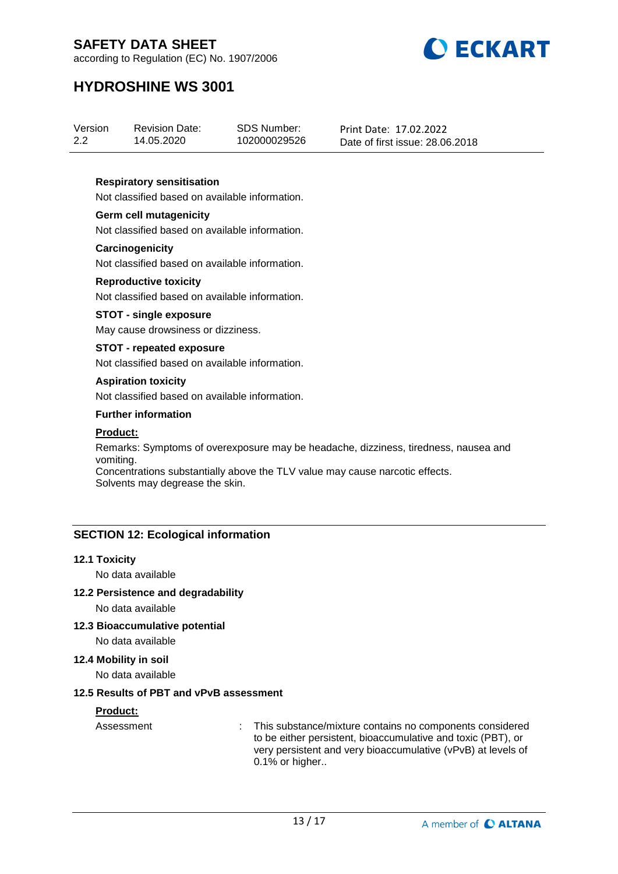

according to Regulation (EC) No. 1907/2006

# **HYDROSHINE WS 3001**

| Version | <b>Revision Date:</b> | SDS Number:  | Print Date: 17.02.2022          |
|---------|-----------------------|--------------|---------------------------------|
| 2.2     | 14.05.2020            | 102000029526 | Date of first issue: 28,06,2018 |

#### **Respiratory sensitisation**

Not classified based on available information.

## **Germ cell mutagenicity**

Not classified based on available information.

#### **Carcinogenicity**

Not classified based on available information.

#### **Reproductive toxicity**

Not classified based on available information.

#### **STOT - single exposure**

May cause drowsiness or dizziness.

#### **STOT - repeated exposure**

Not classified based on available information.

#### **Aspiration toxicity**

Not classified based on available information.

#### **Further information**

#### **Product:**

Remarks: Symptoms of overexposure may be headache, dizziness, tiredness, nausea and vomiting.

Concentrations substantially above the TLV value may cause narcotic effects. Solvents may degrease the skin.

#### **SECTION 12: Ecological information**

#### **12.1 Toxicity**

No data available

#### **12.2 Persistence and degradability**

No data available

#### **12.3 Bioaccumulative potential**

No data available

#### **12.4 Mobility in soil**

No data available

#### **12.5 Results of PBT and vPvB assessment**

#### **Product:**

Assessment : This substance/mixture contains no components considered to be either persistent, bioaccumulative and toxic (PBT), or very persistent and very bioaccumulative (vPvB) at levels of 0.1% or higher..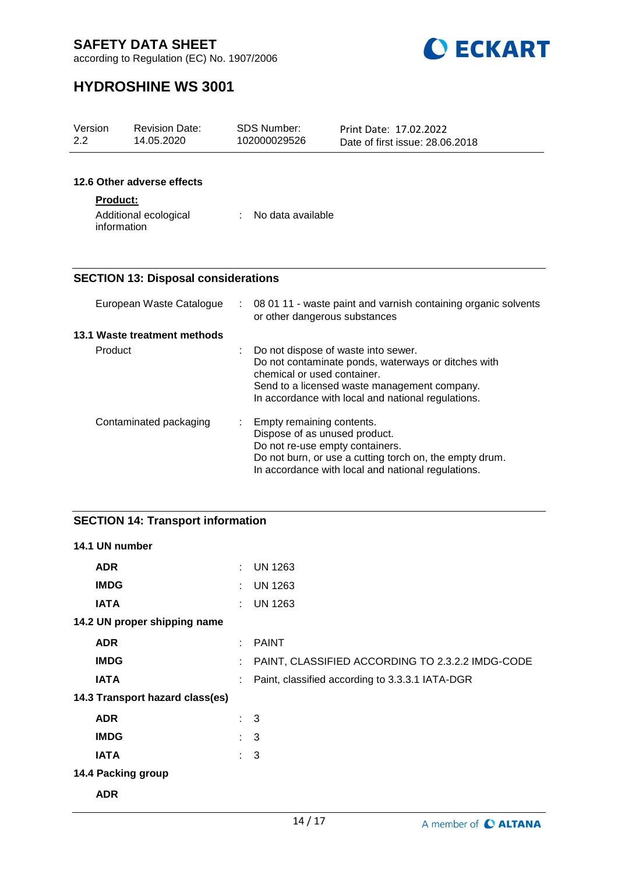

according to Regulation (EC) No. 1907/2006

# **HYDROSHINE WS 3001**

| Version<br>2.2  | <b>Revision Date:</b><br>14.05.2020        |    | <b>SDS Number:</b><br>102000029526                                                            | Print Date: 17.02.2022<br>Date of first issue: 28.06.2018                                                                                                                                        |
|-----------------|--------------------------------------------|----|-----------------------------------------------------------------------------------------------|--------------------------------------------------------------------------------------------------------------------------------------------------------------------------------------------------|
|                 | 12.6 Other adverse effects                 |    |                                                                                               |                                                                                                                                                                                                  |
| <b>Product:</b> |                                            |    |                                                                                               |                                                                                                                                                                                                  |
| information     | Additional ecological                      |    | No data available                                                                             |                                                                                                                                                                                                  |
|                 | <b>SECTION 13: Disposal considerations</b> |    |                                                                                               |                                                                                                                                                                                                  |
|                 | European Waste Catalogue                   | ÷  | or other dangerous substances                                                                 | 08 01 11 - waste paint and varnish containing organic solvents                                                                                                                                   |
|                 | 13.1 Waste treatment methods               |    |                                                                                               |                                                                                                                                                                                                  |
| Product         |                                            | t. | chemical or used container.                                                                   | Do not dispose of waste into sewer.<br>Do not contaminate ponds, waterways or ditches with<br>Send to a licensed waste management company.<br>In accordance with local and national regulations. |
|                 | Contaminated packaging                     |    | Empty remaining contents.<br>Dispose of as unused product.<br>Do not re-use empty containers. | Do not burn, or use a cutting torch on, the empty drum.<br>In accordance with local and national regulations.                                                                                    |
| 14.1 UN number  | <b>SECTION 14: Transport information</b>   |    |                                                                                               |                                                                                                                                                                                                  |
| <b>ADR</b>      |                                            |    | UN 1263                                                                                       |                                                                                                                                                                                                  |

| <b>ADR</b>                      |   | : UN 1263                                         |
|---------------------------------|---|---------------------------------------------------|
| <b>IMDG</b>                     |   | <b>UN 1263</b>                                    |
| <b>IATA</b>                     |   | $:$ UN 1263                                       |
| 14.2 UN proper shipping name    |   |                                                   |
| <b>ADR</b>                      | ÷ | <b>PAINT</b>                                      |
| <b>IMDG</b>                     |   | PAINT, CLASSIFIED ACCORDING TO 2.3.2.2 IMDG-CODE  |
| <b>IATA</b>                     |   | : Paint, classified according to 3.3.3.1 IATA-DGR |
| 14.3 Transport hazard class(es) |   |                                                   |
| <b>ADR</b>                      |   | $\therefore$ 3                                    |
| <b>IMDG</b>                     |   | : 3                                               |
| <b>IATA</b>                     |   | : 3                                               |
| 14.4 Packing group              |   |                                                   |
| <b>ADR</b>                      |   |                                                   |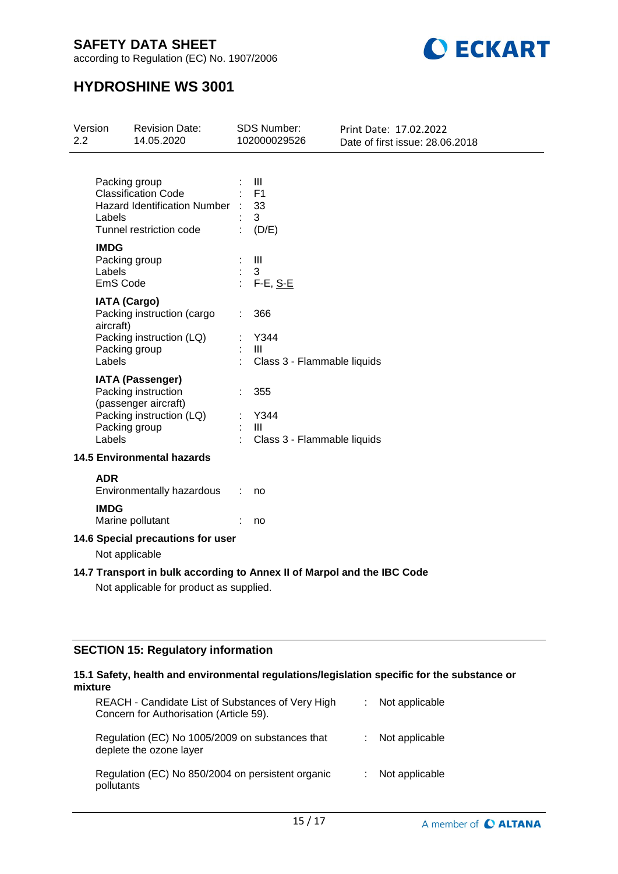



# **HYDROSHINE WS 3001**

| Version<br>2.2                                                 | <b>Revision Date:</b><br>14.05.2020                                                                                           | SDS Number:<br>102000029526                                                                                        | Print Date: 17.02.2022<br>Date of first issue: 28.06.2018 |  |  |  |  |
|----------------------------------------------------------------|-------------------------------------------------------------------------------------------------------------------------------|--------------------------------------------------------------------------------------------------------------------|-----------------------------------------------------------|--|--|--|--|
|                                                                | Packing group<br><b>Classification Code</b><br><b>Hazard Identification Number</b><br>Labels<br>Tunnel restriction code       | Ш<br>F <sub>1</sub><br>33<br>3<br>(D/E)                                                                            |                                                           |  |  |  |  |
|                                                                | <b>IMDG</b><br>Packing group<br>Labels<br>EmS Code                                                                            | III<br>3<br>F-E, S-E                                                                                               |                                                           |  |  |  |  |
| <b>IATA (Cargo)</b><br>Packing instruction (cargo<br>aircraft) |                                                                                                                               | 366                                                                                                                |                                                           |  |  |  |  |
|                                                                | Packing instruction (LQ)<br>Packing group<br>Labels                                                                           | Y344<br>Ш<br>Class 3 - Flammable liquids                                                                           |                                                           |  |  |  |  |
|                                                                | <b>IATA (Passenger)</b><br>Packing instruction<br>(passenger aircraft)<br>Packing instruction (LQ)<br>Packing group<br>Labels | 355<br>Y344<br>Ш<br>Class 3 - Flammable liquids                                                                    |                                                           |  |  |  |  |
|                                                                | <b>14.5 Environmental hazards</b>                                                                                             |                                                                                                                    |                                                           |  |  |  |  |
|                                                                | <b>ADR</b><br>Environmentally hazardous                                                                                       | no                                                                                                                 |                                                           |  |  |  |  |
|                                                                | <b>IMDG</b><br>Marine pollutant                                                                                               | no                                                                                                                 |                                                           |  |  |  |  |
|                                                                | 14.6 Special precautions for user<br>Not applicable                                                                           |                                                                                                                    |                                                           |  |  |  |  |
|                                                                |                                                                                                                               | 14.7 Transport in bulk according to Annex II of Marpol and the IBC Code<br>Not applicable for product as supplied. |                                                           |  |  |  |  |

## **SECTION 15: Regulatory information**

# **15.1 Safety, health and environmental regulations/legislation specific for the substance or mixture**

| REACH - Candidate List of Substances of Very High<br>Concern for Authorisation (Article 59). | Not applicable |
|----------------------------------------------------------------------------------------------|----------------|
| Regulation (EC) No 1005/2009 on substances that<br>deplete the ozone layer                   | Not applicable |
| Regulation (EC) No 850/2004 on persistent organic<br>pollutants                              | Not applicable |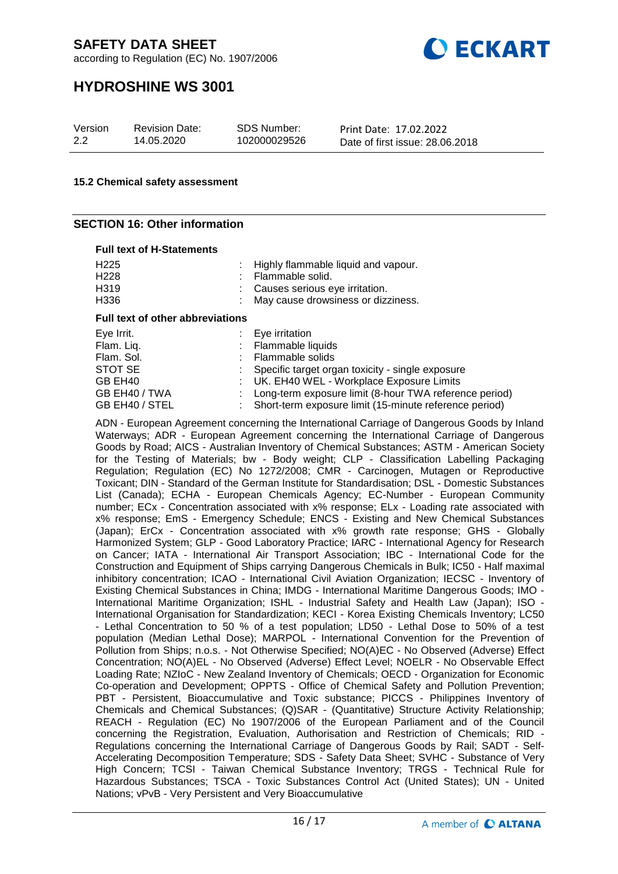according to Regulation (EC) No. 1907/2006



# **HYDROSHINE WS 3001**

| Version | <b>Revision Date:</b> | <b>SDS Number:</b> | Print Date: 17.02.2022          |
|---------|-----------------------|--------------------|---------------------------------|
| 2.2     | 14.05.2020            | 102000029526       | Date of first issue: 28,06,2018 |

#### **15.2 Chemical safety assessment**

### **SECTION 16: Other information**

**Full text of H-Statements**

| Full text of H-Statements               |                                                        |
|-----------------------------------------|--------------------------------------------------------|
| H <sub>225</sub>                        | Highly flammable liquid and vapour.                    |
| H <sub>228</sub>                        | Flammable solid.                                       |
| H <sub>3</sub> 19                       | Causes serious eye irritation.                         |
| H336                                    | May cause drowsiness or dizziness.                     |
| <b>Full text of other abbreviations</b> |                                                        |
| Eye Irrit.                              | Eye irritation                                         |
| Flam. Liq.                              | Flammable liquids                                      |
| Flam. Sol.                              | Flammable solids                                       |
| STOT SE                                 | Specific target organ toxicity - single exposure       |
| GB EH40                                 | UK. EH40 WEL - Workplace Exposure Limits               |
| GB EH40 / TWA                           | Long-term exposure limit (8-hour TWA reference period) |

GB EH40 / STEL : Short-term exposure limit (15-minute reference period) ADN - European Agreement concerning the International Carriage of Dangerous Goods by Inland Waterways; ADR - European Agreement concerning the International Carriage of Dangerous Goods by Road; AICS - Australian Inventory of Chemical Substances; ASTM - American Society for the Testing of Materials; bw - Body weight; CLP - Classification Labelling Packaging Regulation; Regulation (EC) No 1272/2008; CMR - Carcinogen, Mutagen or Reproductive Toxicant; DIN - Standard of the German Institute for Standardisation; DSL - Domestic Substances List (Canada); ECHA - European Chemicals Agency; EC-Number - European Community number; ECx - Concentration associated with x% response; ELx - Loading rate associated with x% response; EmS - Emergency Schedule; ENCS - Existing and New Chemical Substances (Japan); ErCx - Concentration associated with x% growth rate response; GHS - Globally Harmonized System; GLP - Good Laboratory Practice; IARC - International Agency for Research on Cancer; IATA - International Air Transport Association; IBC - International Code for the Construction and Equipment of Ships carrying Dangerous Chemicals in Bulk; IC50 - Half maximal inhibitory concentration; ICAO - International Civil Aviation Organization; IECSC - Inventory of Existing Chemical Substances in China; IMDG - International Maritime Dangerous Goods; IMO - International Maritime Organization; ISHL - Industrial Safety and Health Law (Japan); ISO - International Organisation for Standardization; KECI - Korea Existing Chemicals Inventory; LC50 - Lethal Concentration to 50 % of a test population; LD50 - Lethal Dose to 50% of a test population (Median Lethal Dose); MARPOL - International Convention for the Prevention of Pollution from Ships; n.o.s. - Not Otherwise Specified; NO(A)EC - No Observed (Adverse) Effect Concentration; NO(A)EL - No Observed (Adverse) Effect Level; NOELR - No Observable Effect Loading Rate; NZIoC - New Zealand Inventory of Chemicals; OECD - Organization for Economic Co-operation and Development; OPPTS - Office of Chemical Safety and Pollution Prevention; PBT - Persistent, Bioaccumulative and Toxic substance; PICCS - Philippines Inventory of Chemicals and Chemical Substances; (Q)SAR - (Quantitative) Structure Activity Relationship; REACH - Regulation (EC) No 1907/2006 of the European Parliament and of the Council concerning the Registration, Evaluation, Authorisation and Restriction of Chemicals; RID - Regulations concerning the International Carriage of Dangerous Goods by Rail; SADT - Self-Accelerating Decomposition Temperature; SDS - Safety Data Sheet; SVHC - Substance of Very High Concern; TCSI - Taiwan Chemical Substance Inventory; TRGS - Technical Rule for Hazardous Substances; TSCA - Toxic Substances Control Act (United States); UN - United Nations; vPvB - Very Persistent and Very Bioaccumulative